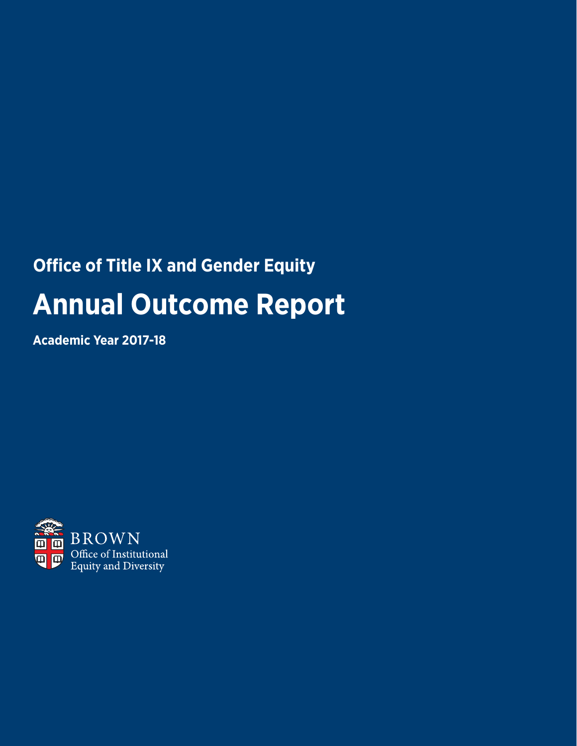# **Office of Title IX and Gender Equity Annual Outcome Report**

**Academic Year 2017-18**

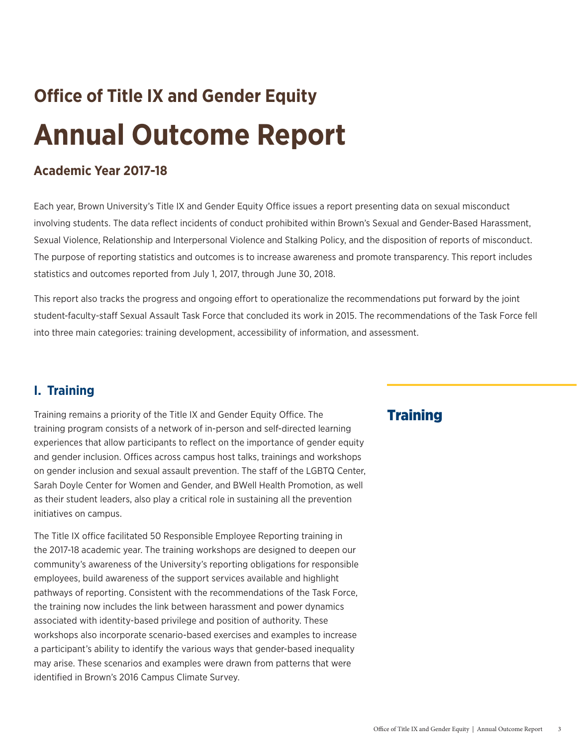# **Office of Title IX and Gender Equity Annual Outcome Report**

## **Academic Year 2017-18**

Each year, Brown University's Title IX and Gender Equity Office issues a report presenting data on sexual misconduct involving students. The data reflect incidents of conduct prohibited within Brown's Sexual and Gender-Based Harassment, Sexual Violence, Relationship and Interpersonal Violence and Stalking Policy, and the disposition of reports of misconduct. The purpose of reporting statistics and outcomes is to increase awareness and promote transparency. This report includes statistics and outcomes reported from July 1, 2017, through June 30, 2018.

This report also tracks the progress and ongoing effort to operationalize the recommendations put forward by the joint student-faculty-staff Sexual Assault Task Force that concluded its work in 2015. The recommendations of the Task Force fell into three main categories: training development, accessibility of information, and assessment.

## **I. Training**

Training remains a priority of the Title IX and Gender Equity Office. The training program consists of a network of in-person and self-directed learning experiences that allow participants to reflect on the importance of gender equity and gender inclusion. Offices across campus host talks, trainings and workshops on gender inclusion and sexual assault prevention. The staff of the LGBTQ Center, Sarah Doyle Center for Women and Gender, and BWell Health Promotion, as well as their student leaders, also play a critical role in sustaining all the prevention initiatives on campus.

The Title IX office facilitated 50 Responsible Employee Reporting training in the 2017-18 academic year. The training workshops are designed to deepen our community's awareness of the University's reporting obligations for responsible employees, build awareness of the support services available and highlight pathways of reporting. Consistent with the recommendations of the Task Force, the training now includes the link between harassment and power dynamics associated with identity-based privilege and position of authority. These workshops also incorporate scenario-based exercises and examples to increase a participant's ability to identify the various ways that gender-based inequality may arise. These scenarios and examples were drawn from patterns that were identified in Brown's 2016 Campus Climate Survey.

## **Training**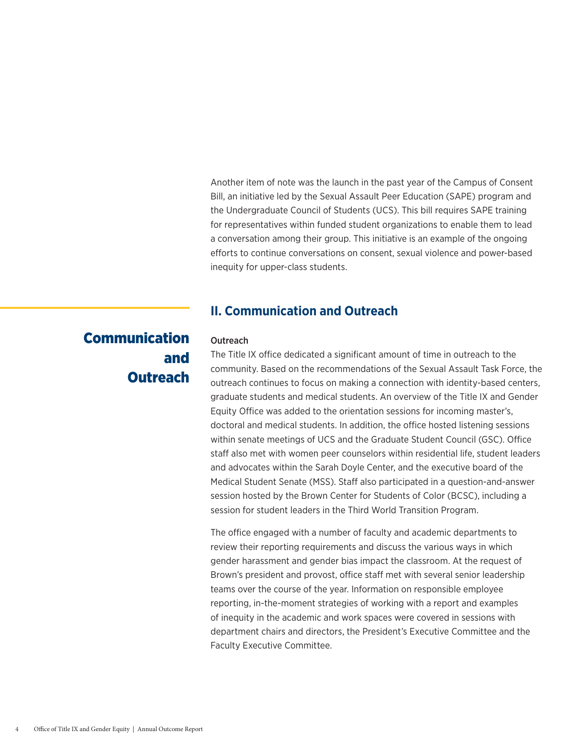Another item of note was the launch in the past year of the Campus of Consent Bill, an initiative led by the Sexual Assault Peer Education (SAPE) program and the Undergraduate Council of Students (UCS). This bill requires SAPE training for representatives within funded student organizations to enable them to lead a conversation among their group. This initiative is an example of the ongoing efforts to continue conversations on consent, sexual violence and power-based inequity for upper-class students.

## **II. Communication and Outreach**

## Communication and **Outreach**

### **Outreach**

The Title IX office dedicated a significant amount of time in outreach to the community. Based on the recommendations of the Sexual Assault Task Force, the outreach continues to focus on making a connection with identity-based centers, graduate students and medical students. An overview of the Title IX and Gender Equity Office was added to the orientation sessions for incoming master's, doctoral and medical students. In addition, the office hosted listening sessions within senate meetings of UCS and the Graduate Student Council (GSC). Office staff also met with women peer counselors within residential life, student leaders and advocates within the Sarah Doyle Center, and the executive board of the Medical Student Senate (MSS). Staff also participated in a question-and-answer session hosted by the Brown Center for Students of Color (BCSC), including a session for student leaders in the Third World Transition Program.

The office engaged with a number of faculty and academic departments to review their reporting requirements and discuss the various ways in which gender harassment and gender bias impact the classroom. At the request of Brown's president and provost, office staff met with several senior leadership teams over the course of the year. Information on responsible employee reporting, in-the-moment strategies of working with a report and examples of inequity in the academic and work spaces were covered in sessions with department chairs and directors, the President's Executive Committee and the Faculty Executive Committee.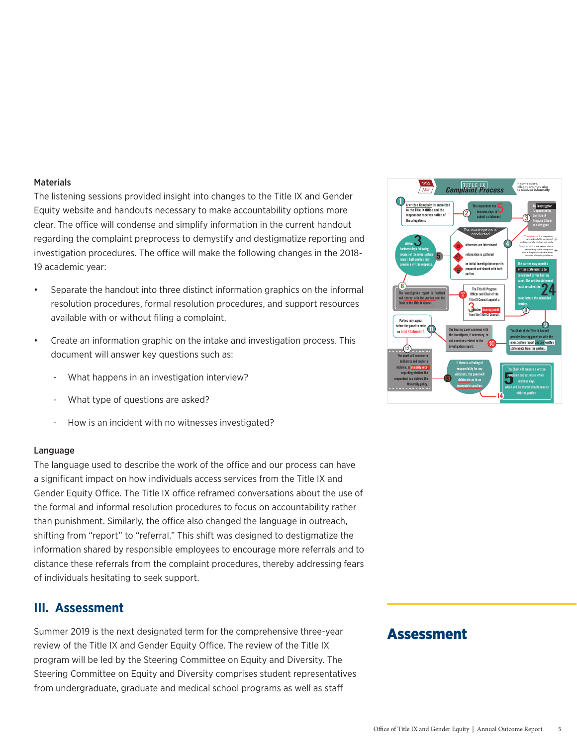### **Materials**

The listening sessions provided insight into changes to the Title IX and Gender Equity website and handouts necessary to make accountability options more clear. The office will condense and simplify information in the current handout regarding the complaint preprocess to demystify and destigmatize reporting and investigation procedures. The office will make the following changes in the 2018- 19 academic year:

- Separate the handout into three distinct information graphics on the informal resolution procedures, formal resolution procedures, and support resources available with or without filing a complaint.
- Create an information graphic on the intake and investigation process. This document will answer key questions such as:
	- What happens in an investigation interview?
	- What type of questions are asked?
	- How is an incident with no witnesses investigated?

### Language

The language used to describe the work of the office and our process can have a significant impact on how individuals access services from the Title IX and Gender Equity Office. The Title IX office reframed conversations about the use of the formal and informal resolution procedures to focus on accountability rather than punishment. Similarly, the office also changed the language in outreach, shifting from "report" to "referral." This shift was designed to destigmatize the information shared by responsible employees to encourage more referrals and to distance these referrals from the complaint procedures, thereby addressing fears of individuals hesitating to seek support.

## **III. Assessment**

Summer 2019 is the next designated term for the comprehensive three-year review of the Title IX and Gender Equity Office. The review of the Title IX program will be led by the Steering Committee on Equity and Diversity. The Steering Committee on Equity and Diversity comprises student representatives from undergraduate, graduate and medical school programs as well as staff

### Complaint Process 1 The investigation report is finalized and shared with the parties and the Chair of the Title IX Council. 3 .<br>I written Complaint is subr to the Title IX Office and the respondent<br>Ient reci the allegations witnesses are interviewed information is gathered an initial investigation report is prepared and shared with both parties The investigation is conducted 4 4 The respondent has business days to The respondent has **the statement** of the Title IX<br>submit a statement of the Title IX<br>**3.** The Title IX is appointed by the Title IX Program Officer or a designee **Within** business days following receipt of the investigation report, both parties may provide a written response.  $\vec{6}$ 5 allegations may also be resolved **informally** 3  $3 \nightharpoonup$ The Title IX Program Officer and Chair of the Title IX Council appoint a member hearing panel from the Title IX Council. 24 The parties may submit a written statement to be considered by the hearing panel. The written statement must be submitted hours before the scheduled hearing. 8 The Chair of the Title IX Council provides hearing panelists with the investigation report and any written statements from the parties. The hearing panel convenes with the state of the Title IV Council of the Title IV Council of the Title IV Council the investigator, if necessary, to ask questions related to the investigation report. Parties may appear before the panel to make an oral statement. The panel will convene to deliberate and render a decision, by majority vote, regarding whether the respondent has violated the University policy. 10 7 11 The C<br>**Explor**<br>which v If there is a finding of responsibility for any violations, the panel will deliberate as to an appropriate sanction. 13 12 The Chair will prepare a written decision and rationale within business days, which will be shared simultaneously with the parties. I X 14 Complainant is the person who submits the complaint and is generally the harmed party Respondent is the person who is responding to the complaint and is the person who has been accused of a policy violation + +

TITLE

In some cases,

## Assessment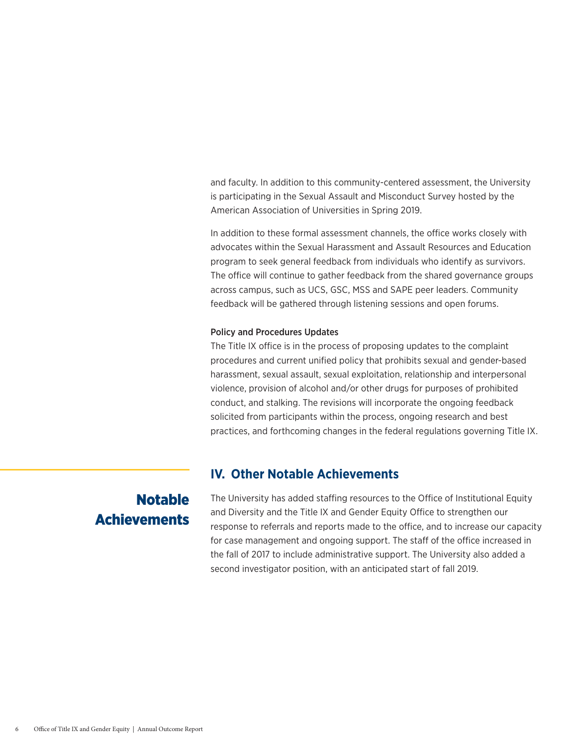and faculty. In addition to this community-centered assessment, the University is participating in the Sexual Assault and Misconduct Survey hosted by the American Association of Universities in Spring 2019.

In addition to these formal assessment channels, the office works closely with advocates within the Sexual Harassment and Assault Resources and Education program to seek general feedback from individuals who identify as survivors. The office will continue to gather feedback from the shared governance groups across campus, such as UCS, GSC, MSS and SAPE peer leaders. Community feedback will be gathered through listening sessions and open forums.

### Policy and Procedures Updates

The Title IX office is in the process of proposing updates to the complaint procedures and current unified policy that prohibits sexual and gender-based harassment, sexual assault, sexual exploitation, relationship and interpersonal violence, provision of alcohol and/or other drugs for purposes of prohibited conduct, and stalking. The revisions will incorporate the ongoing feedback solicited from participants within the process, ongoing research and best practices, and forthcoming changes in the federal regulations governing Title IX.

## **IV. Other Notable Achievements**

## Notable **Achievements**

The University has added staffing resources to the Office of Institutional Equity and Diversity and the Title IX and Gender Equity Office to strengthen our response to referrals and reports made to the office, and to increase our capacity for case management and ongoing support. The staff of the office increased in the fall of 2017 to include administrative support. The University also added a second investigator position, with an anticipated start of fall 2019.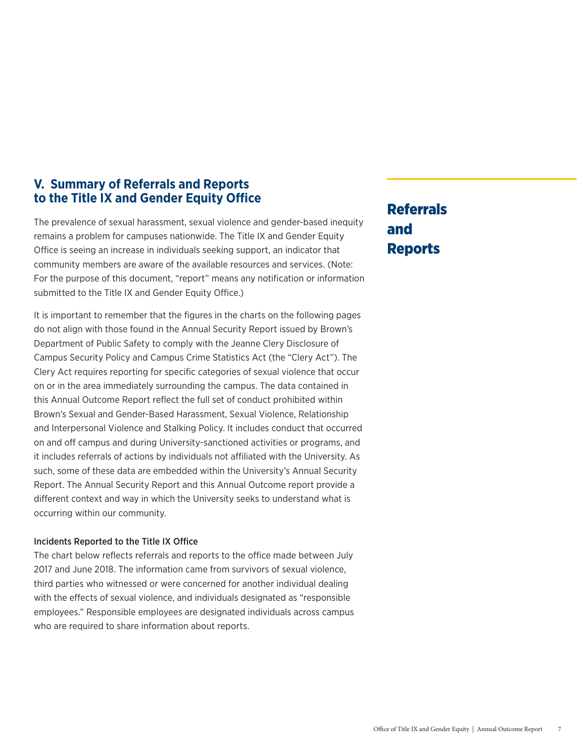## **V. Summary of Referrals and Reports to the Title IX and Gender Equity Office**

The prevalence of sexual harassment, sexual violence and gender-based inequity remains a problem for campuses nationwide. The Title IX and Gender Equity Office is seeing an increase in individuals seeking support, an indicator that community members are aware of the available resources and services. (Note: For the purpose of this document, "report" means any notification or information submitted to the Title IX and Gender Equity Office.)

It is important to remember that the figures in the charts on the following pages do not align with those found in the Annual Security Report issued by Brown's Department of Public Safety to comply with the Jeanne Clery Disclosure of Campus Security Policy and Campus Crime Statistics Act (the "Clery Act"). The Clery Act requires reporting for specific categories of sexual violence that occur on or in the area immediately surrounding the campus. The data contained in this Annual Outcome Report reflect the full set of conduct prohibited within Brown's Sexual and Gender-Based Harassment, Sexual Violence, Relationship and Interpersonal Violence and Stalking Policy. It includes conduct that occurred on and off campus and during University-sanctioned activities or programs, and it includes referrals of actions by individuals not affiliated with the University. As such, some of these data are embedded within the University's Annual Security Report. The Annual Security Report and this Annual Outcome report provide a different context and way in which the University seeks to understand what is occurring within our community.

### Incidents Reported to the Title IX Office

The chart below reflects referrals and reports to the office made between July 2017 and June 2018. The information came from survivors of sexual violence, third parties who witnessed or were concerned for another individual dealing with the effects of sexual violence, and individuals designated as "responsible employees." Responsible employees are designated individuals across campus who are required to share information about reports.

## Referrals and Reports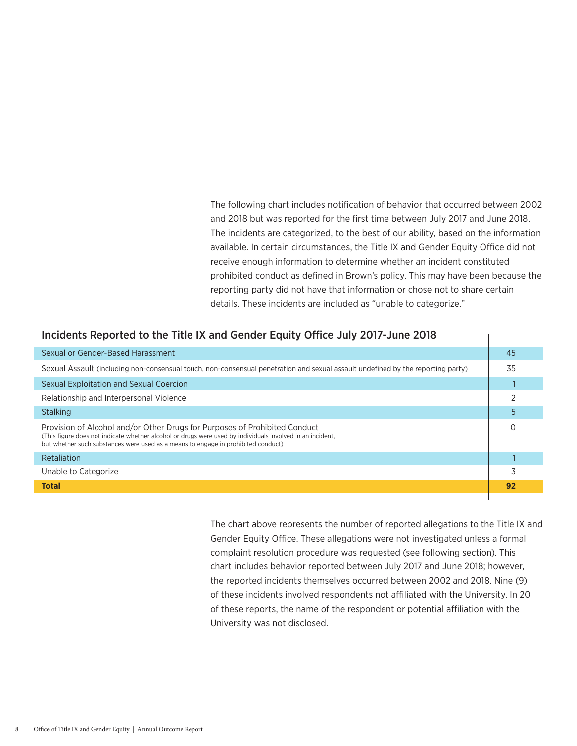The following chart includes notification of behavior that occurred between 2002 and 2018 but was reported for the first time between July 2017 and June 2018. The incidents are categorized, to the best of our ability, based on the information available. In certain circumstances, the Title IX and Gender Equity Office did not receive enough information to determine whether an incident constituted prohibited conduct as defined in Brown's policy. This may have been because the reporting party did not have that information or chose not to share certain details. These incidents are included as "unable to categorize."

### Incidents Reported to the Title IX and Gender Equity Office July 2017-June 2018

| Sexual or Gender-Based Harassment                                                                                                                                                                                                                                            | -45 |  |  |  |
|------------------------------------------------------------------------------------------------------------------------------------------------------------------------------------------------------------------------------------------------------------------------------|-----|--|--|--|
| Sexual Assault (including non-consensual touch, non-consensual penetration and sexual assault undefined by the reporting party)                                                                                                                                              |     |  |  |  |
| Sexual Exploitation and Sexual Coercion                                                                                                                                                                                                                                      |     |  |  |  |
| Relationship and Interpersonal Violence                                                                                                                                                                                                                                      |     |  |  |  |
| Stalking                                                                                                                                                                                                                                                                     |     |  |  |  |
| Provision of Alcohol and/or Other Drugs for Purposes of Prohibited Conduct<br>(This figure does not indicate whether alcohol or drugs were used by individuals involved in an incident,<br>but whether such substances were used as a means to engage in prohibited conduct) |     |  |  |  |
| Retaliation                                                                                                                                                                                                                                                                  |     |  |  |  |
| Unable to Categorize                                                                                                                                                                                                                                                         |     |  |  |  |
| <b>Total</b>                                                                                                                                                                                                                                                                 | 92  |  |  |  |
|                                                                                                                                                                                                                                                                              |     |  |  |  |

The chart above represents the number of reported allegations to the Title IX and Gender Equity Office. These allegations were not investigated unless a formal complaint resolution procedure was requested (see following section). This chart includes behavior reported between July 2017 and June 2018; however, the reported incidents themselves occurred between 2002 and 2018. Nine (9) of these incidents involved respondents not affiliated with the University. In 20 of these reports, the name of the respondent or potential affiliation with the University was not disclosed.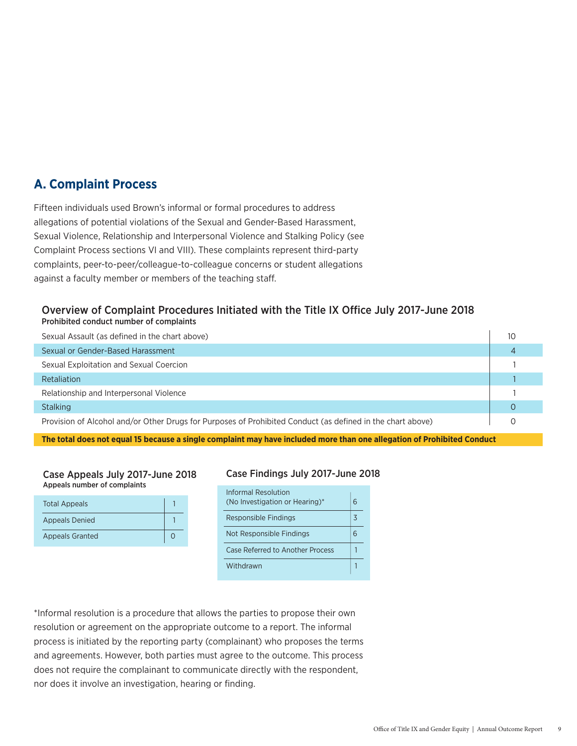## **A. Complaint Process**

Fifteen individuals used Brown's informal or formal procedures to address allegations of potential violations of the Sexual and Gender-Based Harassment, Sexual Violence, Relationship and Interpersonal Violence and Stalking Policy (see Complaint Process sections VI and VIII). These complaints represent third-party complaints, peer-to-peer/colleague-to-colleague concerns or student allegations against a faculty member or members of the teaching staff.

### Overview of Complaint Procedures Initiated with the Title IX Office July 2017-June 2018 Prohibited conduct number of complaints

| Sexual Assault (as defined in the chart above)                                                             | 10 |
|------------------------------------------------------------------------------------------------------------|----|
| Sexual or Gender-Based Harassment                                                                          |    |
| Sexual Exploitation and Sexual Coercion                                                                    |    |
| Retaliation                                                                                                |    |
| Relationship and Interpersonal Violence                                                                    |    |
| <b>Stalking</b>                                                                                            |    |
| Provision of Alcohol and/or Other Drugs for Purposes of Prohibited Conduct (as defined in the chart above) |    |

**The total does not equal 15 because a single complaint may have included more than one allegation of Prohibited Conduct**

### Case Appeals July 2017-June 2018 Appeals number of complaints

| <b>Total Appeals</b>   |  |
|------------------------|--|
| <b>Appeals Denied</b>  |  |
| <b>Appeals Granted</b> |  |

### Case Findings July 2017-June 2018

| Informal Resolution<br>(No Investigation or Hearing)* |  |
|-------------------------------------------------------|--|
| Responsible Findings                                  |  |
| Not Responsible Findings                              |  |
| Case Referred to Another Process                      |  |
| Withdrawn                                             |  |

\*Informal resolution is a procedure that allows the parties to propose their own resolution or agreement on the appropriate outcome to a report. The informal process is initiated by the reporting party (complainant) who proposes the terms and agreements. However, both parties must agree to the outcome. This process does not require the complainant to communicate directly with the respondent, nor does it involve an investigation, hearing or finding.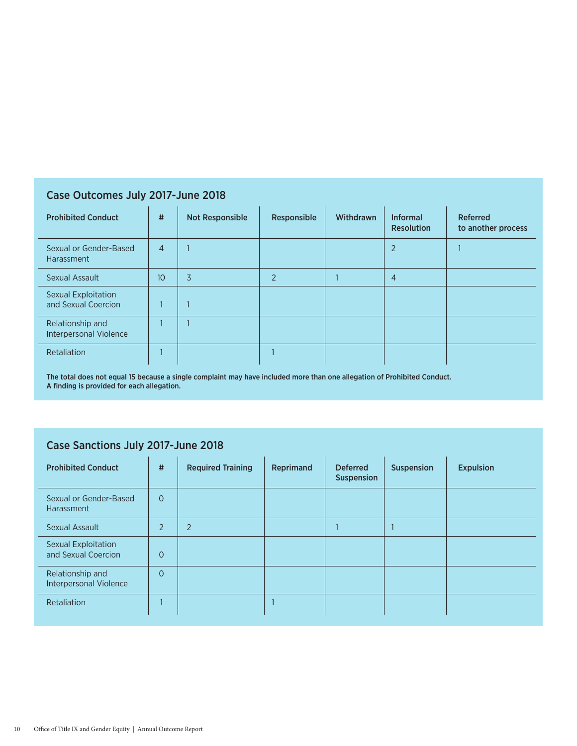## Case Outcomes July 2017-June 2018

| <b>Prohibited Conduct</b>                         | #               | <b>Not Responsible</b> | Responsible    | Withdrawn | <b>Informal</b><br><b>Resolution</b> | <b>Referred</b><br>to another process |
|---------------------------------------------------|-----------------|------------------------|----------------|-----------|--------------------------------------|---------------------------------------|
| Sexual or Gender-Based<br>Harassment              | $\overline{4}$  |                        |                |           | $\overline{2}$                       |                                       |
| Sexual Assault                                    | 10 <sup>°</sup> | 3                      | $\overline{2}$ |           | $\overline{4}$                       |                                       |
| Sexual Exploitation<br>and Sexual Coercion        | $\mathbf{I}$    |                        |                |           |                                      |                                       |
| Relationship and<br><b>Interpersonal Violence</b> |                 |                        |                |           |                                      |                                       |
| Retaliation                                       |                 |                        |                |           |                                      |                                       |

The total does not equal 15 because a single complaint may have included more than one allegation of Prohibited Conduct. A finding is provided for each allegation.

## Case Sanctions July 2017-June 2018

| <b>Prohibited Conduct</b>                         | #              | <b>Required Training</b> | Reprimand | <b>Deferred</b><br><b>Suspension</b> | <b>Suspension</b> | <b>Expulsion</b> |
|---------------------------------------------------|----------------|--------------------------|-----------|--------------------------------------|-------------------|------------------|
| Sexual or Gender-Based<br>Harassment              | $\Omega$       |                          |           |                                      |                   |                  |
| <b>Sexual Assault</b>                             | $\overline{2}$ | $\overline{2}$           |           |                                      |                   |                  |
| <b>Sexual Exploitation</b><br>and Sexual Coercion | $\overline{O}$ |                          |           |                                      |                   |                  |
| Relationship and<br><b>Interpersonal Violence</b> | $\Omega$       |                          |           |                                      |                   |                  |
| Retaliation                                       |                |                          |           |                                      |                   |                  |